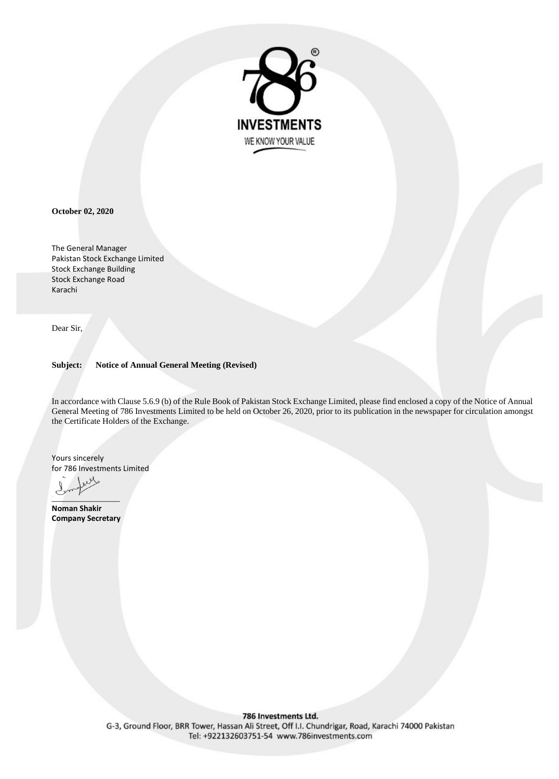

**October 02, 2020**

The General Manager Pakistan Stock Exchange Limited Stock Exchange Building Stock Exchange Road Karachi

Dear Sir,

**Subject: Notice of Annual General Meeting (Revised)**

In accordance with Clause 5.6.9 (b) of the Rule Book of Pakistan Stock Exchange Limited, please find enclosed a copy of the Notice of Annual General Meeting of 786 Investments Limited to be held on October 26, 2020, prior to its publication in the newspaper for circulation amongst the Certificate Holders of the Exchange.

Yours sincerely for 786 Investments Limited

 $\sim$   $\frac{1}{2}$   $\sim$   $\sim$   $\sim$   $\sim$   $\sim$ 

**Noman Shakir Company Secretary**

#### 786 Investments Ltd.

G-3, Ground Floor, BRR Tower, Hassan Ali Street, Off I.I. Chundrigar, Road, Karachi 74000 Pakistan Tel: +922132603751-54 www.786investments.com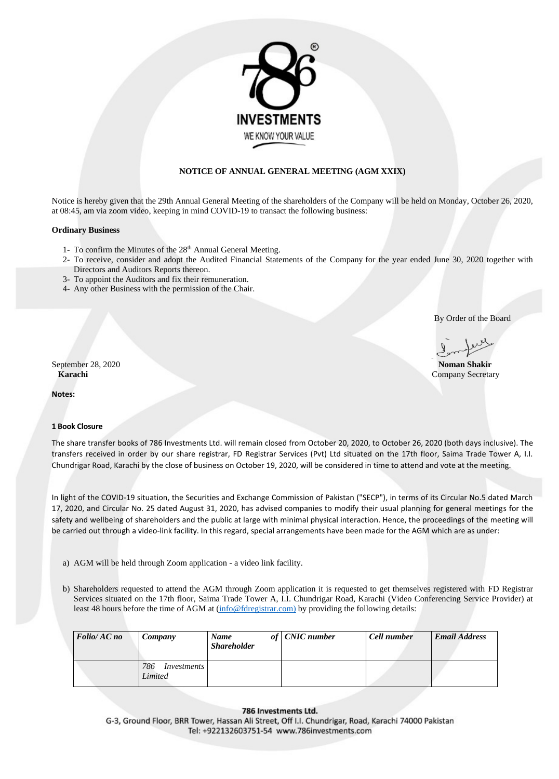

# **NOTICE OF ANNUAL GENERAL MEETING (AGM XXIX)**

Notice is hereby given that the 29th Annual General Meeting of the shareholders of the Company will be held on Monday, October 26, 2020, at 08:45, am via zoom video, keeping in mind COVID-19 to transact the following business:

## **Ordinary Business**

- 1- To confirm the Minutes of the 28<sup>th</sup> Annual General Meeting.
- 2- To receive, consider and adopt the Audited Financial Statements of the Company for the year ended June 30, 2020 together with Directors and Auditors Reports thereon.
- 3- To appoint the Auditors and fix their remuneration.
- 4- Any other Business with the permission of the Chair.

By Order of the Board

September 28, 2020 **Noman Shakir Karachi** Company Secretary

**Notes:**

## **1 Book Closure**

- a) AGM will be held through Zoom application a video link facility.
- b) Shareholders requested to attend the AGM through Zoom application it is requested to get themselves registered with FD Registrar Services situated on the 17th floor, Saima Trade Tower A, I.I. Chundrigar Road, Karachi (Video Conferencing Service Provider) at least 48 hours before the time of AGM at (info@fdregistrar.com) by providing the following details:

The share transfer books of 786 Investments Ltd. will remain closed from October 20, 2020, to October 26, 2020 (both days inclusive). The transfers received in order by our share registrar, FD Registrar Services (Pvt) Ltd situated on the 17th floor, Saima Trade Tower A, I.I. Chundrigar Road, Karachi by the close of business on October 19, 2020, will be considered in time to attend and vote at the meeting.

In light of the COVID-19 situation, the Securities and Exchange Commission of Pakistan ("SECP"), in terms of its Circular No.5 dated March 17, 2020, and Circular No. 25 dated August 31, 2020, has advised companies to modify their usual planning for general meetings for the safety and wellbeing of shareholders and the public at large with minimal physical interaction. Hence, the proceedings of the meeting will be carried out through a video-link facility. In this regard, special arrangements have been made for the AGM which are as under:

| Folio/AC no | Company                                     | <b>Name</b><br><b>Shareholder</b> | of CNIC number | <b>Cell number</b> | <b>Email Address</b> |
|-------------|---------------------------------------------|-----------------------------------|----------------|--------------------|----------------------|
|             | 786<br><i>Investments</i><br><b>Limited</b> |                                   |                |                    |                      |

#### 786 Investments Ltd.

G-3, Ground Floor, BRR Tower, Hassan Ali Street, Off I.I. Chundrigar, Road, Karachi 74000 Pakistan Tel: +922132603751-54 www.786investments.com